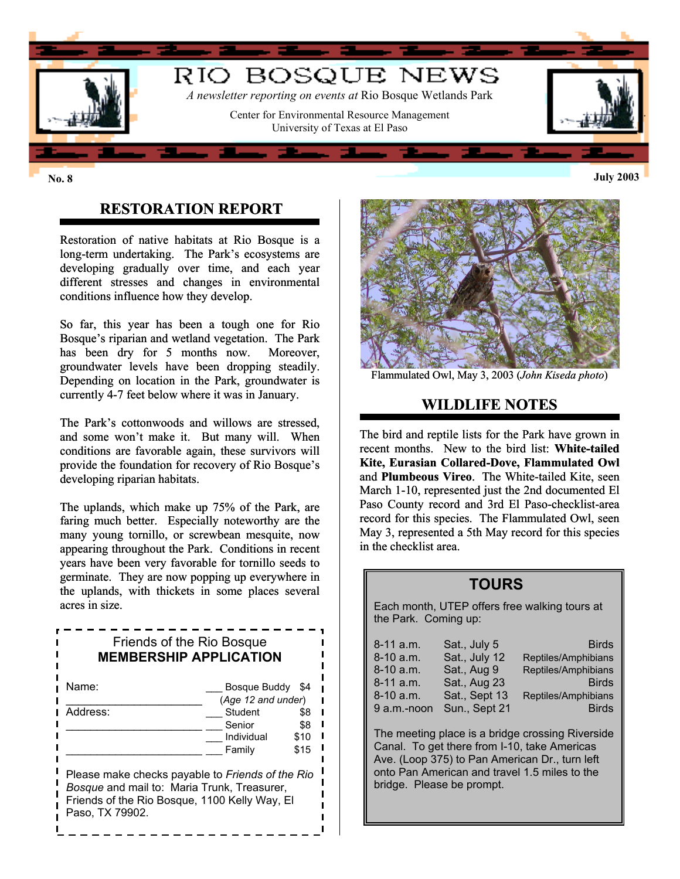

## **RESTORATION REPORT**

Restoration of native habitats at Rio Bosque is a long-term undertaking. The Park's ecosystems are developing gradually over time, and each year different stresses and changes in environmental conditions influence how they develop.

So far, this year has been a tough one for Rio Bosque's riparian and wetland vegetation. The Park has been dry for 5 months now. Moreover, groundwater levels have been dropping steadily. Depending on location in the Park, groundwater is currently 4-7 feet below where it was in January.

The Park's cottonwoods and willows are stressed, and some won't make it. But many will. When conditions are favorable again, these survivors will provide the foundation for recovery of Rio Bosque's developing riparian habitats.

The uplands, which make up 75% of the Park, are faring much better. Especially noteworthy are the many young tornillo, or screwbean mesquite, now appearing throughout the Park. Conditions in recent years have been very favorable for tornillo seeds to germinate. They are now popping up everywhere in the uplands, with thickets in some places several acres in size.

| Friends of the Rio Bosque<br><b>MEMBERSHIP APPLICATION</b>                                                                                                          |                    |      |  |  |
|---------------------------------------------------------------------------------------------------------------------------------------------------------------------|--------------------|------|--|--|
| Name:                                                                                                                                                               | Bosque Buddy       | \$4  |  |  |
|                                                                                                                                                                     | (Age 12 and under) |      |  |  |
| Address:                                                                                                                                                            | Student            | \$8  |  |  |
|                                                                                                                                                                     | Senior             | \$8  |  |  |
|                                                                                                                                                                     | Individual         | \$10 |  |  |
|                                                                                                                                                                     | Family             | \$15 |  |  |
| Please make checks payable to Friends of the Rio<br>Bosque and mail to: Maria Trunk, Treasurer,<br>Friends of the Rio Bosque, 1100 Kelly Way, El<br>Paso. TX 79902. |                    |      |  |  |



Flammulated Owl, May 3, 2003 (*John Kiseda photo*)

### **WILDLIFE NOTES**

The bird and reptile lists for the Park have grown in recent months.New to the bird list: **White-tailed Kite, Eurasian Collared-Dove, Flammulated Owl**  and **Plumbeous Vireo**. The White-tailed Kite, seen March 1-10, represented just the 2nd documented El Paso County record and 3rd El Paso-checklist-area record for this species. The Flammulated Owl, seen May 3, represented a 5th May record for this species in the checklist area.

### **TOURS**

Each month, UTEP offers free walking tours at the Park. Coming up:

| 8-11 a.m.   | Sat., July 5  | <b>Birds</b>        |
|-------------|---------------|---------------------|
| $8-10$ a.m. | Sat., July 12 | Reptiles/Amphibians |
| $8-10$ a.m. | Sat., Aug 9   | Reptiles/Amphibians |
| 8-11 a.m.   | Sat., Aug 23  | <b>Birds</b>        |
| 8-10 a.m.   | Sat., Sept 13 | Reptiles/Amphibians |
| 9 a.m.-noon | Sun., Sept 21 | <b>Birds</b>        |

The meeting place is a bridge crossing Riverside Canal. To get there from I-10, take Americas Ave. (Loop 375) to Pan American Dr., turn left onto Pan American and travel 1.5 miles to the bridge. Please be prompt.